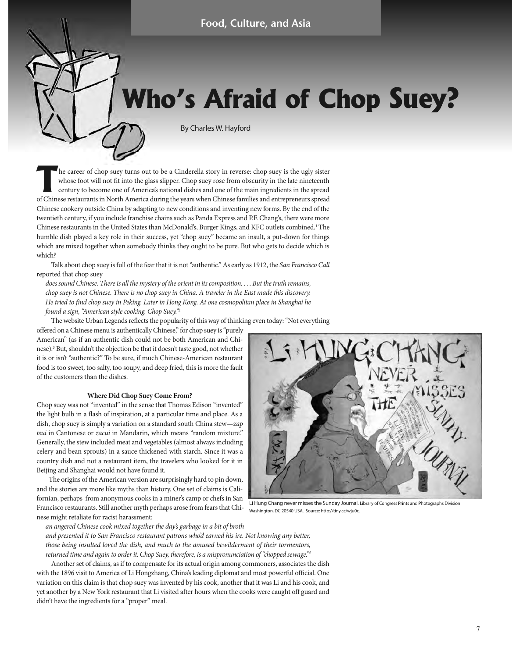# **Who's Afraid of Chop Suey?**

By Charles W. Hayford

The career of chop suey turns out to be a Cinderella story in reverse: chop suey is the ugly sister<br>whose foot will not fit into the glass slipper. Chop suey rose from obscurity in the late nineteenth<br>century to become one whose foot will not fit into the glass slipper. Chop suey rose from obscurity in the late nineteenth century to become one of America's national dishes and one of the main ingredients in the spread of Chinese restaurants in North America during the years when Chinese families and entrepreneurs spread Chinese cookery outside China by adapting to new conditions and inventing new forms. By the end of the twentieth century, if you include franchise chains such as Panda Express and P.F. Chang's, there were more Chinese restaurants in the United States than McDonald's, Burger Kings, and KFC outlets combined.1 The humble dish played a key role in their success, yet "chop suey" became an insult, a put-down for things which are mixed together when somebody thinks they ought to be pure. But who gets to decide which is which?

Talk about chop suey is full of the fear that it is not "authentic." As early as 1912, the San Francisco Call reported that chop suey

does sound Chinese. There is all the mystery of the orient in its composition. . . . But the truth remains, chop suey is not Chinese. There is no chop suey in China. A traveler in the East made this discovery. He tried to find chop suey in Peking. Later in Hong Kong. At one cosmopolitan place in Shanghai he found a sign, "American style cooking. Chop Suey."<sup>2</sup>

The website Urban Legends reflects the popularity of this way of thinking even today: "Not everything

offered on a Chinese menu is authentically Chinese," for chop suey is "purely American" (as if an authentic dish could not be both American and Chinese).3 But, shouldn't the objection be that it doesn't taste good, not whether it is or isn't "authentic?" To be sure, if much Chinese-American restaurant food is too sweet, too salty, too soupy, and deep fried, this is more the fault of the customers than the dishes.

### **Where Did Chop Suey Come From?**

Chop suey was not "invented" in the sense that Thomas Edison "invented" the light bulb in a flash of inspiration, at a particular time and place. As a dish, chop suey is simply a variation on a standard south China stew—zap tsui in Cantonese or zacui in Mandarin, which means "random mixture." Generally, the stew included meat and vegetables (almost always including celery and bean sprouts) in a sauce thickened with starch. Since it was a country dish and not a restaurant item, the travelers who looked for it in Beijing and Shanghai would not have found it.

The origins of the American version are surprisingly hard to pin down, and the stories are more like myths than history. One set of claims is Californian, perhaps from anonymous cooks in a miner's camp or chefs in San Francisco restaurants. Still another myth perhaps arose from fears that Chinese might retaliate for racist harassment:

Li Hung Chang never misses the Sunday Journal. Library of Congress Prints and Photographs Division Washington, DC 20540 USA. Source: http://tiny.cc/wju0c.

an angered Chinese cook mixed together the day's garbage in a bit of broth

and presented it to San Francisco restaurant patrons who'd earned his ire. Not knowing any better, those being insulted loved the dish, and much to the amused bewilderment of their tormentors, returned time and again to order it. Chop Suey, therefore, is a mispronunciation of "chopped sewage."4

Another set of claims, as if to compensate for its actual origin among commoners, associates the dish with the 1896 visit to America of Li Hongzhang, China's leading diplomat and most powerful official. One variation on this claim is that chop suey was invented by his cook, another that it was Li and his cook, and yet another by a New York restaurant that Li visited after hours when the cooks were caught off guard and didn't have the ingredients for a "proper" meal.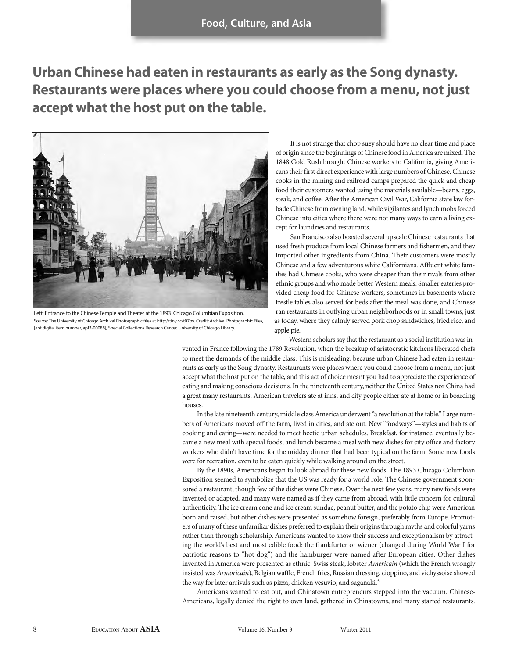**Urban Chinese had eaten in restaurants as early as the Song dynasty. Restaurants were places where you could choose from a menu, not just accept what the host put on the table.**



Left: Entrance to the Chinese Temple and Theater at the 1893 Chicago Columbian Exposition. Source: The University of Chicago Archival Photographic files at http://tiny.cc/t07ov. Credit: Archival Photographic Files, [apf digital item number, apf3-00088], Special Collections Research Center, University of Chicago Library.

It is not strange that chop suey should have no clear time and place of origin since the beginnings of Chinese food in America are mixed. The 1848 Gold Rush brought Chinese workers to California, giving Americans their first direct experience with large numbers of Chinese. Chinese cooks in the mining and railroad camps prepared the quick and cheap food their customers wanted using the materials available—beans, eggs, steak, and coffee. After the American Civil War, California state law forbade Chinese from owning land, while vigilantes and lynch mobs forced Chinese into cities where there were not many ways to earn a living except for laundries and restaurants.

San Francisco also boasted several upscale Chinese restaurants that used fresh produce from local Chinese farmers and fishermen, and they imported other ingredients from China. Their customers were mostly Chinese and a few adventurous white Californians. Affluent white families had Chinese cooks, who were cheaper than their rivals from other ethnic groups and who made better Western meals. Smaller eateries provided cheap food for Chinese workers, sometimes in basements where trestle tables also served for beds after the meal was done, and Chinese ran restaurants in outlying urban neighborhoods or in small towns, just as today, where they calmly served pork chop sandwiches, fried rice, and apple pie.

Western scholars say that the restaurant as a social institution was in-

vented in France following the 1789 Revolution, when the breakup of aristocratic kitchens liberated chefs to meet the demands of the middle class. This is misleading, because urban Chinese had eaten in restaurants as early as the Song dynasty. Restaurants were places where you could choose from a menu, not just accept what the host put on the table, and this act of choice meant you had to appreciate the experience of eating and making conscious decisions. In the nineteenth century, neither the United States nor China had a great many restaurants. American travelers ate at inns, and city people either ate at home or in boarding houses.

In the late nineteenth century, middle class America underwent "a revolution at the table." Large numbers of Americans moved off the farm, lived in cities, and ate out. New "foodways"—styles and habits of cooking and eating—were needed to meet hectic urban schedules. Breakfast, for instance, eventually became a new meal with special foods, and lunch became a meal with new dishes for city office and factory workers who didn't have time for the midday dinner that had been typical on the farm. Some new foods were for recreation, even to be eaten quickly while walking around on the street.

By the 1890s, Americans began to look abroad for these new foods. The 1893 Chicago Columbian Exposition seemed to symbolize that the US was ready for a world role. The Chinese government sponsored a restaurant, though few of the dishes were Chinese. Over the next few years, many new foods were invented or adapted, and many were named as if they came from abroad, with little concern for cultural authenticity. The ice cream cone and ice cream sundae, peanut butter, and the potato chip were American born and raised, but other dishes were presented as somehow foreign, preferably from Europe. Promoters of many of these unfamiliar dishes preferred to explain their origins through myths and colorful yarns rather than through scholarship. Americans wanted to show their success and exceptionalism by attracting the world's best and most edible food: the frankfurter or wiener (changed during World War I for patriotic reasons to "hot dog") and the hamburger were named after European cities. Other dishes invented in America were presented as ethnic: Swiss steak, lobster Americain (which the French wrongly insisted was Armoricain), Belgian waffle, French fries, Russian dressing, cioppino, and vichyssoise showed the way for later arrivals such as pizza, chicken vesuvio, and saganaki.<sup>5</sup>

Americans wanted to eat out, and Chinatown entrepreneurs stepped into the vacuum. Chinese-Americans, legally denied the right to own land, gathered in Chinatowns, and many started restaurants.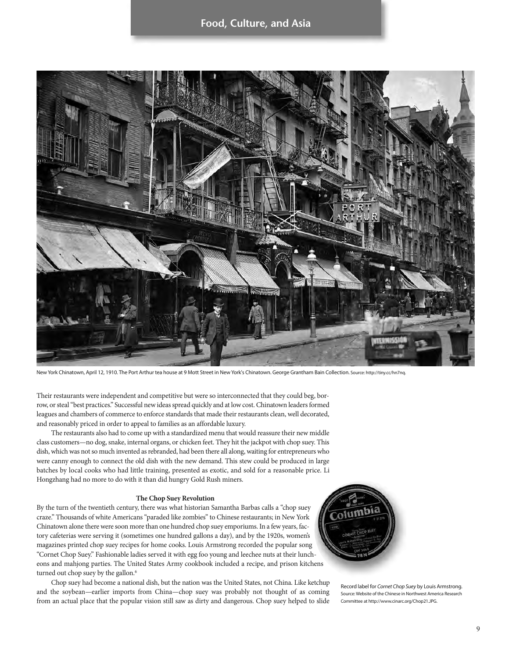

New York Chinatown, April 12, 1910. The Port Arthur tea house at 9 Mott Street in New York's Chinatown. George Grantham Bain Collection. Source: http://tiny.cc/hn7nq.

Their restaurants were independent and competitive but were so interconnected that they could beg, borrow, or steal "best practices." Successful new ideas spread quickly and at low cost. Chinatown leaders formed leagues and chambers of commerce to enforce standards that made their restaurants clean, well decorated, and reasonably priced in order to appeal to families as an affordable luxury.

The restaurants also had to come up with a standardized menu that would reassure their new middle class customers—no dog, snake, internal organs, or chicken feet. They hit the jackpot with chop suey. This dish, which was not so much invented as rebranded, had been there all along, waiting for entrepreneurs who were canny enough to connect the old dish with the new demand. This stew could be produced in large batches by local cooks who had little training, presented as exotic, and sold for a reasonable price. Li Hongzhang had no more to do with it than did hungry Gold Rush miners.

### **The Chop Suey Revolution**

By the turn of the twentieth century, there was what historian Samantha Barbas calls a "chop suey craze." Thousands of white Americans "paraded like zombies" to Chinese restaurants; in New York Chinatown alone there were soon more than one hundred chop suey emporiums. In a few years, factory cafeterias were serving it (sometimes one hundred gallons a day), and by the 1920s, women's magazines printed chop suey recipes for home cooks. Louis Armstrong recorded the popular song "Cornet Chop Suey." Fashionable ladies served it with egg foo young and leechee nuts at their luncheons and mahjong parties. The United States Army cookbook included a recipe, and prison kitchens turned out chop suey by the gallon.<sup>6</sup>

Chop suey had become a national dish, but the nation was the United States, not China. Like ketchup and the soybean—earlier imports from China—chop suey was probably not thought of as coming from an actual place that the popular vision still saw as dirty and dangerous. Chop suey helped to slide



Record label for Cornet Chop Suey by Louis Armstrong. Source: Website of the Chinese in Northwest America Research Committee at http://www.cinarc.org/Chop21.JPG.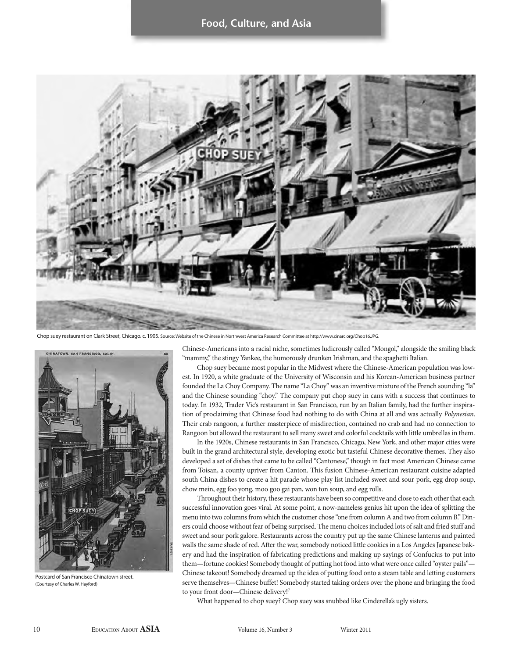### **Food, Culture, and Asia**



Chop suey restaurant on Clark Street, Chicago. c. 1905. Source: Website of the Chinese in Northwest America Research Committee at http://www.cinarc.org/Chop16.JPG.



Postcard of San Francisco Chinatown street. (Courtesy of Charles W. Hayford)

Chinese-Americans into a racial niche, sometimes ludicrously called "Mongol," alongside the smiling black "mammy," the stingy Yankee, the humorously drunken Irishman, and the spaghetti Italian.

Chop suey became most popular in the Midwest where the Chinese-American population was lowest. In 1920, a white graduate of the University of Wisconsin and his Korean-American business partner founded the La Choy Company. The name "La Choy" was an inventive mixture of the French sounding "la" and the Chinese sounding "choy." The company put chop suey in cans with a success that continues to today. In 1932, Trader Vic's restaurant in San Francisco, run by an Italian family, had the further inspiration of proclaiming that Chinese food had nothing to do with China at all and was actually Polynesian. Their crab rangoon, a further masterpiece of misdirection, contained no crab and had no connection to Rangoon but allowed the restaurant to sell many sweet and colorful cocktails with little umbrellas in them.

In the 1920s, Chinese restaurants in San Francisco, Chicago, New York, and other major cities were built in the grand architectural style, developing exotic but tasteful Chinese decorative themes. They also developed a set of dishes that came to be called "Cantonese," though in fact most American Chinese came from Toisan, a county upriver from Canton. This fusion Chinese-American restaurant cuisine adapted south China dishes to create a hit parade whose play list included sweet and sour pork, egg drop soup, chow mein, egg foo yong, moo goo gai pan, won ton soup, and egg rolls.

Throughout their history, these restaurants have been so competitive and close to each other that each successful innovation goes viral. At some point, a now-nameless genius hit upon the idea of splitting the menu into two columns from which the customer chose "one from column A and two from column B." Diners could choose without fear of being surprised. The menu choices included lots of salt and fried stuff and sweet and sour pork galore. Restaurants across the country put up the same Chinese lanterns and painted walls the same shade of red. After the war, somebody noticed little cookies in a Los Angeles Japanese bakery and had the inspiration of fabricating predictions and making up sayings of Confucius to put into them—fortune cookies! Somebody thought of putting hot food into what were once called "oyster pails"— Chinese takeout! Somebody dreamed up the idea of putting food onto a steam table and letting customers serve themselves—Chinese buffet! Somebody started taking orders over the phone and bringing the food to your front door—Chinese delivery!7

What happened to chop suey? Chop suey was snubbed like Cinderella's ugly sisters.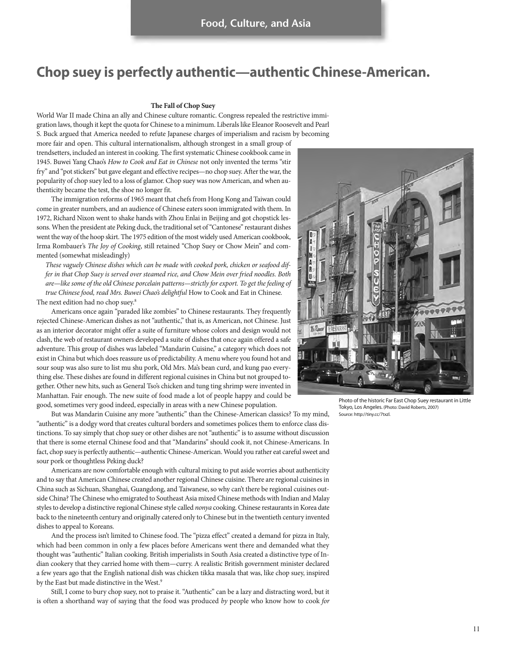## **Chop suey is perfectly authentic—authentic Chinese-American.**

#### **The Fall of Chop Suey**

World War II made China an ally and Chinese culture romantic. Congress repealed the restrictive immigration laws, though it kept the quota for Chinese to a minimum. Liberals like Eleanor Roosevelt and Pearl S. Buck argued that America needed to refute Japanese charges of imperialism and racism by becoming

more fair and open. This cultural internationalism, although strongest in a small group of trendsetters, included an interest in cooking. The first systematic Chinese cookbook came in 1945. Buwei Yang Chao's How to Cook and Eat in Chinese not only invented the terms "stir fry" and "pot stickers" but gave elegant and effective recipes—no chop suey. After the war, the popularity of chop suey led to a loss of glamor. Chop suey was now American, and when authenticity became the test, the shoe no longer fit.

The immigration reforms of 1965 meant that chefs from Hong Kong and Taiwan could come in greater numbers, and an audience of Chinese eaters soon immigrated with them. In 1972, Richard Nixon went to shake hands with Zhou Enlai in Beijing and got chopstick lessons. When the president ate Peking duck, the traditional set of "Cantonese" restaurant dishes went the way of the hoop skirt. The 1975 edition of the most widely used American cookbook, Irma Rombauer's The Joy of Cooking, still retained "Chop Suey or Chow Mein" and commented (somewhat misleadingly)

These vaguely Chinese dishes which can be made with cooked pork, chicken or seafood differ in that Chop Suey is served over steamed rice, and Chow Mein over fried noodles. Both are—like some of the old Chinese porcelain patterns—strictly for export. To get the feeling of true Chinese food, read Mrs. Buwei Chao's delightful How to Cook and Eat in Chinese. The next edition had no chop suey.<sup>8</sup>

Americans once again "paraded like zombies" to Chinese restaurants. They frequently rejected Chinese-American dishes as not "authentic," that is, as American, not Chinese. Just as an interior decorator might offer a suite of furniture whose colors and design would not clash, the web of restaurant owners developed a suite of dishes that once again offered a safe adventure. This group of dishes was labeled "Mandarin Cuisine," a category which does not exist in China but which does reassure us of predictability. A menu where you found hot and sour soup was also sure to list mu shu pork, Old Mrs. Ma's bean curd, and kung pao everything else. These dishes are found in different regional cuisines in China but not grouped together. Other new hits, such as General Tso's chicken and tung ting shrimp were invented in Manhattan. Fair enough. The new suite of food made a lot of people happy and could be good, sometimes very good indeed, especially in areas with a new Chinese population.

But was Mandarin Cuisine any more "authentic" than the Chinese-American classics? To my mind, "authentic" is a dodgy word that creates cultural borders and sometimes polices them to enforce class distinctions. To say simply that chop suey or other dishes are not "authentic" is to assume without discussion that there is some eternal Chinese food and that "Mandarins" should cook it, not Chinese-Americans. In fact, chop suey is perfectly authentic—authentic Chinese-American. Would you rather eat careful sweet and sour pork or thoughtless Peking duck?

Americans are now comfortable enough with cultural mixing to put aside worries about authenticity and to say that American Chinese created another regional Chinese cuisine. There are regional cuisines in China such as Sichuan, Shanghai, Guangdong, and Taiwanese, so why can't there be regional cuisines outside China? The Chinese who emigrated to Southeast Asia mixed Chinese methods with Indian and Malay styles to develop a distinctive regional Chinese style called nonya cooking. Chinese restaurants in Korea date back to the nineteenth century and originally catered only to Chinese but in the twentieth century invented dishes to appeal to Koreans.

And the process isn't limited to Chinese food. The "pizza effect" created a demand for pizza in Italy, which had been common in only a few places before Americans went there and demanded what they thought was "authentic" Italian cooking. British imperialists in South Asia created a distinctive type of Indian cookery that they carried home with them—curry. A realistic British government minister declared a few years ago that the English national dish was chicken tikka masala that was, like chop suey, inspired by the East but made distinctive in the West.<sup>9</sup>

Still, I come to bury chop suey, not to praise it. "Authentic" can be a lazy and distracting word, but it is often a shorthand way of saying that the food was produced by people who know how to cook for



Photo of the historic Far East Chop Suey restaurant in Little Tokyo, Los Angeles. (Photo: David Roberts, 2007) Source: http://tiny.cc/7txzl.